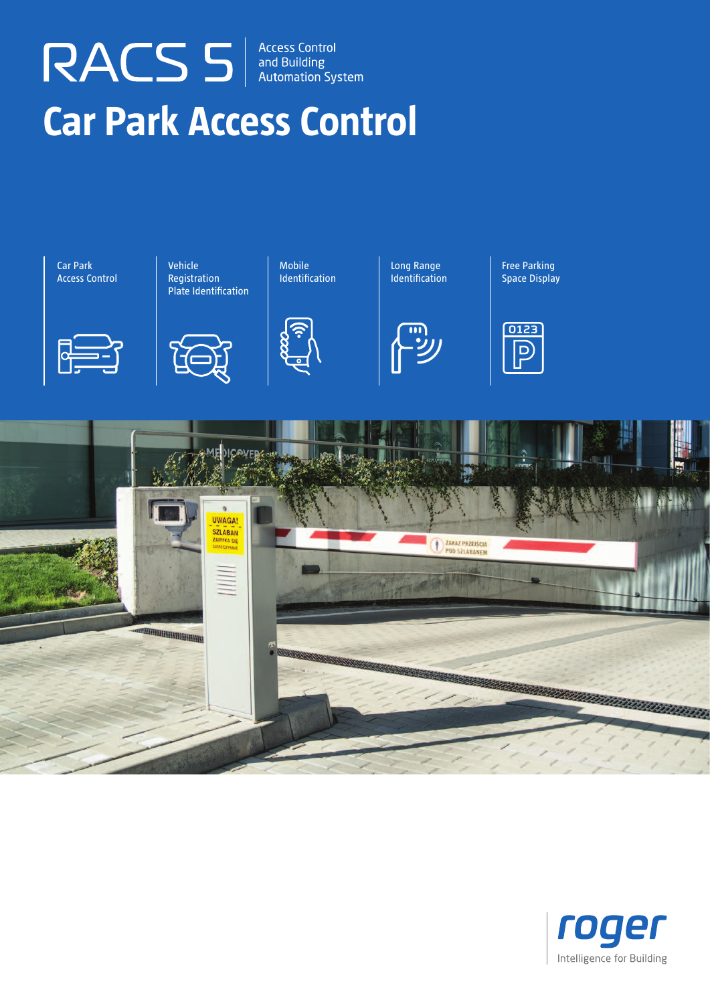## RACS 5 | Access Control **Car Park Access Control**

Car Park Access Control



Plate Identification

Vehicle Registration



Mobile **Identification**  Long Range **Identification** 



Free Parking Space Display



**DICAVER** Đ **UWAGA** SZLÁBÁN ZAKAZ PRZEJŚCIA ZAMYKA SI<br>MMSCZYNA **POD S71 ARANEL TERRITORIAL MANAGEMENT SURFUL BERTHUR HARDWARD**